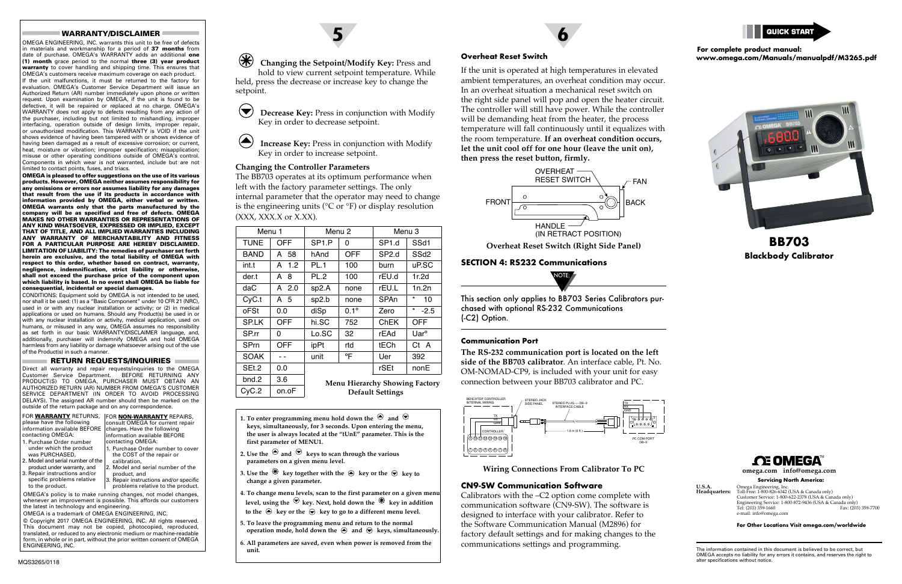# **Changing the Setpoint/Modify Key:** Press and hold to view current setpoint temperature. While

held, press the decrease or increase key to change the setpoint.

**Decrease Key:** Press in conjunction with Modify Key in order to decrease setpoint.

**Increase Key:** Press in conjunction with Modify Key in order to increase setpoint.

## **Changing the Controller Parameters**

The BB703 operates at its optimum performance when left with the factory parameter settings. The only internal parameter that the operator may need to change is the engineering units ( ${}^{\circ}$ C or  ${}^{\circ}$ F) or display resolution (XXX, XXX.X or X.XX).

**5**

**6**

# **[BB703](https://www.omega.com/pptst/BB703.html) Blackbody Calibrator**

| Menu 1      |         | Menu <sub>2</sub>                                                |               | Menu <sub>3</sub> |                    |  |
|-------------|---------|------------------------------------------------------------------|---------------|-------------------|--------------------|--|
| <b>TUNE</b> | OFF     | SP <sub>1</sub> P                                                | 0             | SP <sub>1.d</sub> | SSd1               |  |
| <b>BAND</b> | A 58    | hAnd                                                             | <b>OFF</b>    | SP <sub>2.d</sub> | SS <sub>d2</sub>   |  |
| int.t       | A 1.2   | PL.1                                                             | 100           | burn              | uP.SC              |  |
| der.t       | A 8.    | PL.2                                                             | 100           | rEU.d             | 1r.2d              |  |
| daC         | A $2.0$ | sp2.A                                                            | none          | rEU.L             | 1n.2n              |  |
| CyC.t       | A 5     | sp2.b                                                            | none          | SPAn              | $^\star$<br>10     |  |
| oFSt        | 0.0     | diSp                                                             | $0.1^{\circ}$ | Zero              | $^\star$<br>$-2.5$ |  |
| <b>SPLK</b> | OFF     | hi.SC                                                            | 752           | ChEK              | OFF                |  |
| SP.rr       | 0       | Lo.SC                                                            | 32            | rEAd              | Uar <sup>o</sup>   |  |
| SPrn        | OFF     | ipPt                                                             | rtd           | tECh              | Ct A               |  |
| <b>SOAK</b> |         | unit                                                             | °F            | Uer               | 392                |  |
| SEt.2       | 0.0     |                                                                  |               | rSEt              | nonE               |  |
| bnd.2       | 3.6     | <b>Menu Hierarchy Showing Factory</b><br><b>Default Settings</b> |               |                   |                    |  |
| CyC.2       | on.oF   |                                                                  |               |                   |                    |  |

- **1.** To enter programming menu hold down the  $\Theta$  and  $\Theta$ **keys, simultaneously, for 3 seconds. Upon entering the menu, the user is always located at the "tUnE" parameter. This is the first parameter of MENU1.**
- **2.** Use the  $\Theta$  and  $\Theta$  keys to scan through the various **parameters on a given menu level.**
- **3. Use the**  $\mathcal{L}$  **key together with the**  $\mathcal{L}$  **key or the**  $\mathcal{L}$  **key to change a given parameter.**
- **4. To change menu levels, scan to the first parameter on a given menu** level, using the  $\Theta$  key. Next, hold down the  $\mathcal{F}$  key in addition to the  $\odot$  key or the  $\odot$  key to go to a different menu level.
- **5. To leave the programming menu and return to the normal operation mode, hold down the**  $\bigcirc$  **and**  $\bigcirc$  **keys, simultaneously.**
- **6. All parameters are saved, even when power is removed from the unit.**

**U.S.A.** Omega Engineering, Inc. **Headquarters:** Toll-Free: 1-800-826-6342 (USA & Canada only) Customer Service: 1-800-622-2378 (USA & Canada only) Engineering Service: 1-800-872-9436 (USA & Canada only) Tel: (203) 359-1660 Fax: (203) 359-7700 e-mail: info@omega.co

## **Overheat Reset Switch**

If the unit is operated at high temperatures in elevated ambient temperatures, an overheat condition may occur. In an overheat situation a mechanical reset switch on the right side panel will pop and open the heater circuit. The controller will still have power. While the controller will be demanding heat from the heater, the process temperature will fall continuously until it equalizes with the room temperature. **If an overheat condition occurs, let the unit cool off for one hour (leave the unit on), then press the reset button, firmly.**

## **SECTION 4: RS232 Communications**

This section only applies to BB703 Series Calibrators purchased with optional RS-232 Communications (-C2) Option.

#### **Communication Port**

**The RS-232 communication port is located on the left side of the BB703 calibrator**. An interface cable, Pt. No. OM-NOMAD-CP9, is included with your unit for easy connection between your BB703 calibrator and PC.



## **CN9-SW Communication Software**

Calibrators with the –C2 option come complete with communication software (CN9-SW). The software is designed to interface with your calibrator. Refer to the Software Communication Manual (M2896) for factory default settings and for making changes to the communications settings and programming.



**Wiring Connections From Calibrator To PC**



**[omega.com](http://omega.com) info@omega.com**



The information contained in this document is believed to be correct, but OMEGA accepts no liability for any errors it contains, and reserves the right to alter specifications without notice.

**Servicing North America:**

**For Other Locations Visit [omega.com/worldwide](http://omega.com/worldwide)**

#### WARRANTY/DISCLAIMER

OMEGA ENGINEERING, INC. warrants this unit to be free of defects in materials and workmanship for a period of 37 months from date of purchase. OMEGA's WARRANTY adds an additional one (1) month grace period to the normal three (3) year product warranty to cover handling and shipping time. This ensures that OMEGA's customers receive maximum coverage on each product. If the unit malfunctions, it must be returned to the factory for evaluation. OMEGA's Customer Service Department will issue an Authorized Return (AR) number immediately upon phone or written request. Upon examination by OMEGA, if the unit is found to be defective, it will be repaired or replaced at no charge. OMEGA's WARRANTY does not apply to defects resulting from any action of the purchaser, including but not limited to mishandling, improper interfacing, operation outside of design limits, improper repair, or unauthorized modification. This WARRANTY is VOID if the unit shows evidence of having been tampered with or shows evidence of having been damaged as a result of excessive corrosion; or current, heat, moisture or vibration; improper specification; misapplication; misuse or other operating conditions outside of OMEGA's control. Components in which wear is not warranted, include but are not limited to contact points, fuses, and triacs.

OMEGA is pleased to offer suggestions on the use of its various products. However, OMEGA neither assumes responsibility for any omissions or errors nor assumes liability for any damages that result from the use if its products in accordance with information provided by OMEGA, either verbal or written. OMEGA warrants only that the parts manufactured by the company will be as specified and free of defects. OMEGA MAKES NO OTHER WARRANTIES OR REPRESENTATIONS OF ANY KIND WHATSOEVER, EXPRESSED OR IMPLIED, EXCEPT THAT OF TITLE, AND ALL IMPLIED WARRANTIES INCLUDING ANY WARRANTY OF MERCHANTABILITY AND FITNESS FOR A PARTICULAR PURPOSE ARE HEREBY DISCLAIMED. LIMITATION OF LIABILITY: The remedies of purchaser set forth herein are exclusive, and the total liability of OMEGA with respect to this order, whether based on contract, warranty, negligence, indemnification, strict liability or otherwise, shall not exceed the purchase price of the component upon which liability is based. In no event shall OMEGA be liable for consequential, incidental or special damages.

CONDITIONS: Equipment sold by OMEGA is not intended to be used, nor shall it be used: (1) as a "Basic Component" under 10 CFR 21 (NRC), used in or with any nuclear installation or activity; or (2) in medical applications or used on humans. Should any Product(s) be used in or with any nuclear installation or activity, medical application, used on humans, or misused in any way, OMEGA assumes no responsibility as set forth in our basic WARRANTY/DISCLAIMER language, and, additionally, purchaser will indemnify OMEGA and hold OMEGA harmless from any liability or damage whatsoever arising out of the use of the Product(s) in such a manner.

## RETURN REQUESTS/INQUIRIES

Direct all warranty and repair requests/inquiries to the OMEGA Customer Service Department. BEFORE RETURNING ANY PRODUCT(S) TO OMEGA, PURCHASER MUST OBTAIN AN AUTHORIZED RETURN (AR) NUMBER FROM OMEGA'S CUSTOMER SERVICE DEPARTMENT (IN ORDER TO AVOID PROCESSING DELAYS). The assigned AR number should then be marked on the outside of the return package and on any correspondence.

to the product.

| FOR WARRANTY RETURNS,<br>please have the following<br>information available BEFORE<br>contacting OMEGA: | <b>FOR NON-WARRANTY REPAIRS,</b><br>consult OMEGA for current repair<br>charges. Have the following<br>information available BEFORE |
|---------------------------------------------------------------------------------------------------------|-------------------------------------------------------------------------------------------------------------------------------------|
| 1. Purchase Order number                                                                                | contacting OMEGA:                                                                                                                   |
| under which the product<br>was PURCHASED.                                                               | 1. Purchase Order number to cover<br>the COST of the repair or                                                                      |
| 2. Model and serial number of the                                                                       | calibration.                                                                                                                        |
| product under warranty, and                                                                             | 2. Model and serial number of the                                                                                                   |
| 3. Repair instructions and/or                                                                           | product, and                                                                                                                        |
| specific problems relative                                                                              | 3. Repair instructions and/or specific                                                                                              |

problems relative to the product.

OMEGA's policy is to make running changes, not model changes, whenever an improvement is possible. This affords our customers the latest in technology and engineering.

OMEGA is a trademark of OMEGA ENGINEERING, INC.

© Copyright 2017 OMEGA ENGINEERING, INC. All rights reserved. This document may not be copied, photocopied, reproduced, translated, or reduced to any electronic medium or machine-readable form, in whole or in part, without the prior written consent of OMEGA ENGINEERING, INC.



# **For complete product manual: [www.omega.com/Manuals/manualpdf/M3265.pdf](http://www.omega.com/Manuals/manualpdf/M3265.pdf)**